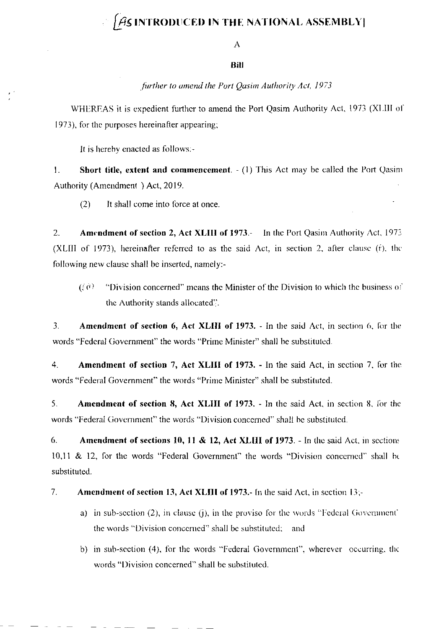## $\int\hspace{-0.5em} \mathcal{A}$ s introduced in the national assembly]

A

## Bill

## further to amend the Port Qasim Authority Act, 1973

WHEREAS it is expedient further to amend the Port Qasim Authority Act, 1973 (XLIII of 1973), for the purposes hereinafter appearing;

It is hereby enacted as follows:-

 $\mathbf{1}$ . **Short title, extent and commencement.**  $-(1)$  This Act may be called the Port Qasim Authority (Amendment) Act, 2019.

 $(2)$ It shall come into force at once.

2. **Amendment of section 2, Act XLIII of 1973.-** In the Port Qasim Authority Act, 1973. (XLIII of 1973), hereinafter referred to as the said Act, in section 2, after clause (f), the following new clause shall be inserted, namely:-

 $(3, 6)$ "Division concerned" means the Minister of the Division to which the business of the Authority stands allocated.

 $\overline{3}$ . **Amendment of section 6, Act XLIII of 1973.** - In the said Act, in section 6, for the words "Federal Government" the words "Prime Minister" shall be substituted.

 $4.$ **Amendment of section 7, Act XLIII of 1973.** - In the said Act, in section 7, for the words "Federal Government" the words "Prime Minister" shall be substituted.

**Amendment of section 8, Act XLIII of 1973.** - In the said Act, in section 8, for the 5. words "Federal Government" the words "Division concerned" shall be substituted.

6. **Amendment of sections 10, 11 & 12, Act XLIII of 1973.** - In the said Act, in sections 10,11 & 12, for the words "Federal Government" the words "Division concerned" shall be substituted.

- 7. Amendment of section 13, Act XLIII of 1973.- In the said Act, in section 13;
	- a) in sub-section (2), in clause (j), in the proviso for the words "Federal Government" the words "Division concerned" shall be substituted; and
	- b) in sub-section (4), for the words "Federal Government", wherever occurring, the words "Division concerned" shall be substituted.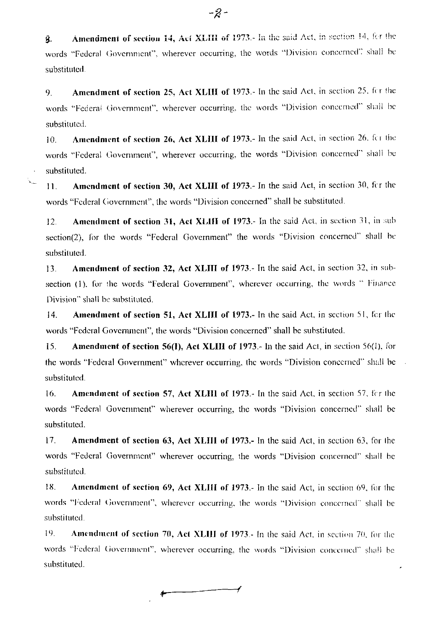Amendment of section 14, Act XLIII of 1973.- In the said Act, in section 14, for the ĝ. words "Federal Government", wherever occurring, the words "Division concerned" shall be substituted.

Amendment of section 25, Act XLIII of 1973.- In the said Act, in section 25, for the 9. words "Federal Government", wherever occurring, the words "Division concerned" shall be substituted.

Amendment of section 26, Act XLIII of 1973.- In the said Act, in section 26, for the  $10.$ words "Federal Government", wherever occurring, the words "Division concerned" shall be substituted.

**Amendment of section 30, Act XLIII of 1973.**- In the said Act, in section 30, for the  $11.$ words "Federal Government", the words "Division concerned" shall be substituted.

 $\mathcal{L}_{\text{max}}$ 

Amendment of section 31, Act XLIII of 1973.- In the said Act, in section 31, in sub  $12.$ section(2), for the words "Federal Government" the words "Division concerned" shall be substituted.

Amendment of section 32, Act XLIII of 1973.- In the said Act, in section 32, in sub-13. section (1), for the words "Federal Government", wherever occurring, the words " Finance Division" shall be substituted.

Amendment of section 51, Act XLIII of 1973.- In the said Act, in section 51, for the  $14.$ words "Federal Government", the words "Division concerned" shall be substituted.

Amendment of section 56(I), Act XLIII of 1973. In the said Act, in section 56(I), for 15. the words "Federal Government" wherever occurring, the words "Division concerned" shall be substituted.

16. Amendment of section 57, Act XLIII of 1973.- In the said Act, in section 57, for the words "Federal Government" wherever occurring, the words "Division concerned" shall be substituted.

17. **Amendment of section 63, Act XLIII of 1973.** In the said Act, in section 63, for the words "Federal Government" wherever occurring, the words "Division concerned" shall be substituted.

18. **Amendment of section 69, Act XLIII of 1973.** In the said Act, in section 69, for the words "Federal Government", wherever occurring, the words "Division concerned" shall be substituted.

19. **Amendment of section 70, Act XLIII of 1973.** In the said Act, in section 70, for the words "Federal Government", wherever occurring, the words "Division concerned" shall be substituted.

-2-